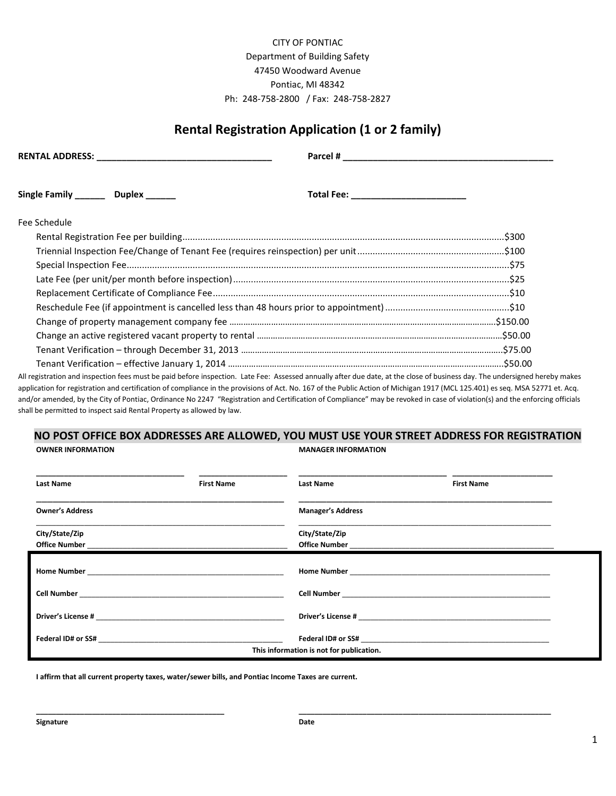## CITY OF PONTIAC Department of Building Safety 47450 Woodward Avenue Pontiac, MI 48342 Ph: 248-758-2800 / Fax: 248-758-2827

## **Rental Registration Application (1 or 2 family)**

| Single Family _________ Duplex ______ |  |                                                                                                                                                                               |  |  |  |
|---------------------------------------|--|-------------------------------------------------------------------------------------------------------------------------------------------------------------------------------|--|--|--|
| Fee Schedule                          |  |                                                                                                                                                                               |  |  |  |
|                                       |  |                                                                                                                                                                               |  |  |  |
|                                       |  |                                                                                                                                                                               |  |  |  |
|                                       |  |                                                                                                                                                                               |  |  |  |
|                                       |  |                                                                                                                                                                               |  |  |  |
|                                       |  |                                                                                                                                                                               |  |  |  |
|                                       |  |                                                                                                                                                                               |  |  |  |
|                                       |  |                                                                                                                                                                               |  |  |  |
|                                       |  |                                                                                                                                                                               |  |  |  |
|                                       |  |                                                                                                                                                                               |  |  |  |
|                                       |  |                                                                                                                                                                               |  |  |  |
|                                       |  | All registration and inspection fees must be paid before inspection. Late Fee: Assessed annually after due date, at the close of business day. The undersigned hereby makes   |  |  |  |
|                                       |  | application for registration and certification of compliance in the provisions of Act. No. 167 of the Public Action of Michigan 1917 (MCL 125.401) es seq. MSA 52771 et. Acq. |  |  |  |
|                                       |  | and/or amended, by the City of Pontiac, Ordinance No 2247 "Registration and Certification of Compliance" may be revoked in case of violation(s) and the enforcing officials   |  |  |  |

## **NO POST OFFICE BOX ADDRESSES ARE ALLOWED, YOU MUST USE YOUR STREET ADDRESS FOR REGISTRATION OWNER INFORMATION MANAGER INFORMATION**

shall be permitted to inspect said Rental Property as allowed by law.

| <b>Last Name</b>       | <b>First Name</b> | <b>Last Name</b>                         | <b>First Name</b>                                                                                                                                                                                                              |  |
|------------------------|-------------------|------------------------------------------|--------------------------------------------------------------------------------------------------------------------------------------------------------------------------------------------------------------------------------|--|
| <b>Owner's Address</b> |                   | <b>Manager's Address</b>                 |                                                                                                                                                                                                                                |  |
| City/State/Zip         |                   | City/State/Zip                           |                                                                                                                                                                                                                                |  |
|                        |                   |                                          |                                                                                                                                                                                                                                |  |
|                        |                   |                                          |                                                                                                                                                                                                                                |  |
|                        |                   |                                          |                                                                                                                                                                                                                                |  |
|                        |                   | This information is not for publication. | Federal ID# or SS# and a state of the state of the state of the state of the state of the state of the state of the state of the state of the state of the state of the state of the state of the state of the state of the st |  |

**I affirm that all current property taxes, water/sewer bills, and Pontiac Income Taxes are current.**

**\_\_\_\_\_\_\_\_\_\_\_\_\_\_\_\_\_\_\_\_\_\_\_\_\_\_\_\_\_\_\_\_\_\_\_\_\_\_\_\_\_\_\_\_\_\_\_ \_\_\_\_\_\_\_\_\_\_\_\_\_\_\_\_\_\_\_\_\_\_\_\_\_\_\_\_\_\_\_\_\_\_\_\_\_\_\_\_\_\_\_\_\_\_\_\_\_\_\_\_\_\_\_\_\_\_\_\_\_\_\_**